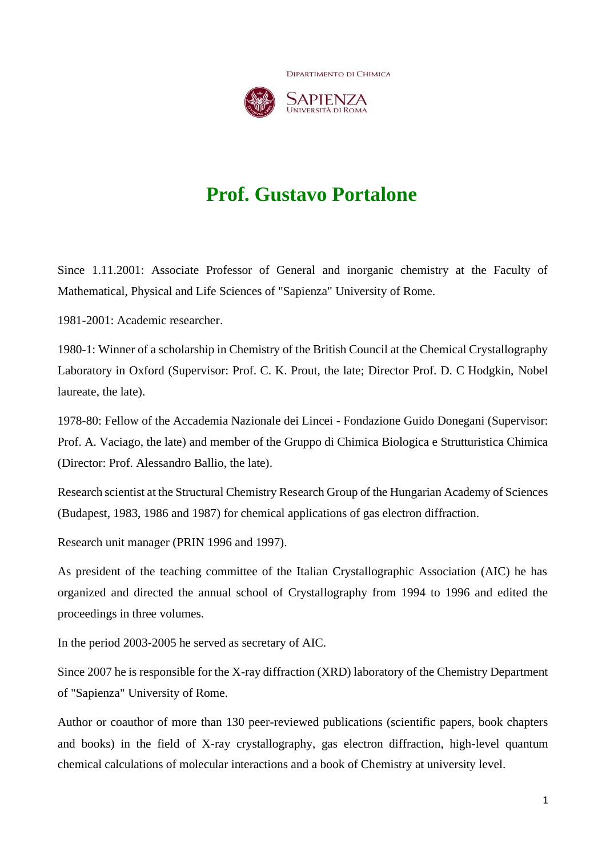**DIPARTIMENTO DI CHIMICA** 



# **Prof. Gustavo Portalone**

Since 1.11.2001: Associate Professor of General and inorganic chemistry at the Faculty of Mathematical, Physical and Life Sciences of "Sapienza" University of Rome.

1981-2001: Academic researcher.

1980-1: Winner of a scholarship in Chemistry of the British Council at the Chemical Crystallography Laboratory in Oxford (Supervisor: Prof. C. K. Prout, the late; Director Prof. D. C Hodgkin, Nobel laureate, the late).

1978-80: Fellow of the Accademia Nazionale dei Lincei - Fondazione Guido Donegani (Supervisor: Prof. A. Vaciago, the late) and member of the Gruppo di Chimica Biologica e Strutturistica Chimica (Director: Prof. Alessandro Ballio, the late).

Research scientist at the Structural Chemistry Research Group of the Hungarian Academy of Sciences (Budapest, 1983, 1986 and 1987) for chemical applications of gas electron diffraction.

Research unit manager (PRIN 1996 and 1997).

As president of the teaching committee of the Italian Crystallographic Association (AIC) he has organized and directed the annual school of Crystallography from 1994 to 1996 and edited the proceedings in three volumes.

In the period 2003-2005 he served as secretary of AIC.

Since 2007 he is responsible for the X-ray diffraction (XRD) laboratory of the Chemistry Department of "Sapienza" University of Rome.

Author or coauthor of more than 130 peer-reviewed publications (scientific papers, book chapters and books) in the field of X-ray crystallography, gas electron diffraction, high-level quantum chemical calculations of molecular interactions and a book of Chemistry at university level.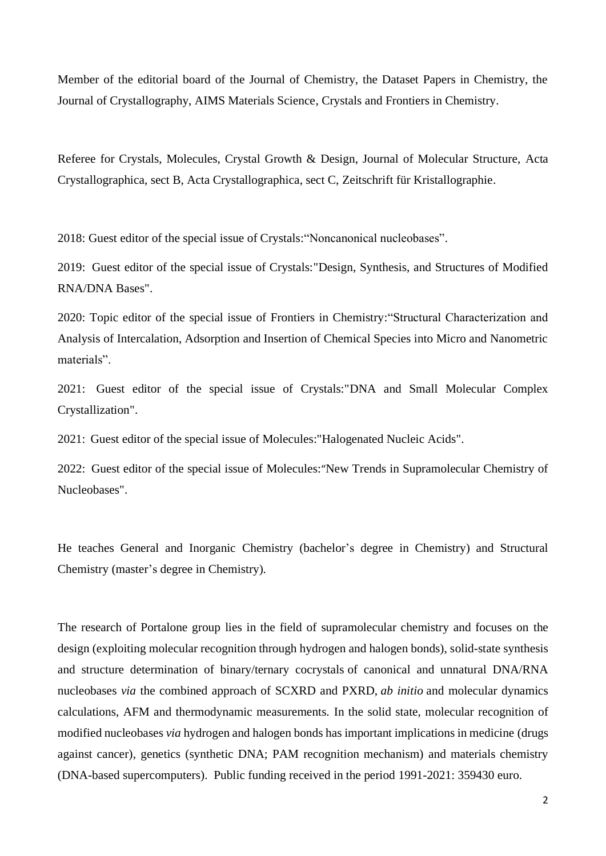Member of the editorial board of the Journal of Chemistry, the Dataset Papers in Chemistry, the Journal of Crystallography, AIMS Materials Science, Crystals and Frontiers in Chemistry.

Referee for Crystals, Molecules, Crystal Growth & Design, Journal of Molecular Structure, Acta Crystallographica, sect B, Acta Crystallographica, sect C, Zeitschrift für Kristallographie.

2018: Guest editor of the special issue of Crystals:"Noncanonical nucleobases".

2019: Guest editor of the special issue of Crystals:"Design, Synthesis, and Structures of Modified RNA/DNA Bases".

2020: Topic editor of the special issue of Frontiers in Chemistry:"Structural Characterization and Analysis of Intercalation, Adsorption and Insertion of Chemical Species into Micro and Nanometric materials".

2021: Guest editor of the special issue of Crystals:"DNA and Small Molecular Complex Crystallization".

2021: Guest editor of the special issue of Molecules:"Halogenated Nucleic Acids".

2022: Guest editor of the special issue of Molecules:"New Trends in Supramolecular Chemistry of Nucleobases".

He teaches General and Inorganic Chemistry (bachelor's degree in Chemistry) and Structural Chemistry (master's degree in Chemistry).

The research of Portalone group lies in the field of supramolecular chemistry and focuses on the design (exploiting molecular recognition through hydrogen and halogen bonds), solid-state synthesis and structure determination of binary/ternary cocrystals of canonical and unnatural DNA/RNA nucleobases *via* the combined approach of SCXRD and PXRD, *ab initio* and molecular dynamics calculations, AFM and thermodynamic measurements. In the solid state, molecular recognition of modified nucleobases *via* hydrogen and halogen bonds has important implications in medicine (drugs against cancer), genetics (synthetic DNA; PAM recognition mechanism) and materials chemistry (DNA-based supercomputers). Public funding received in the period 1991-2021: 359430 euro.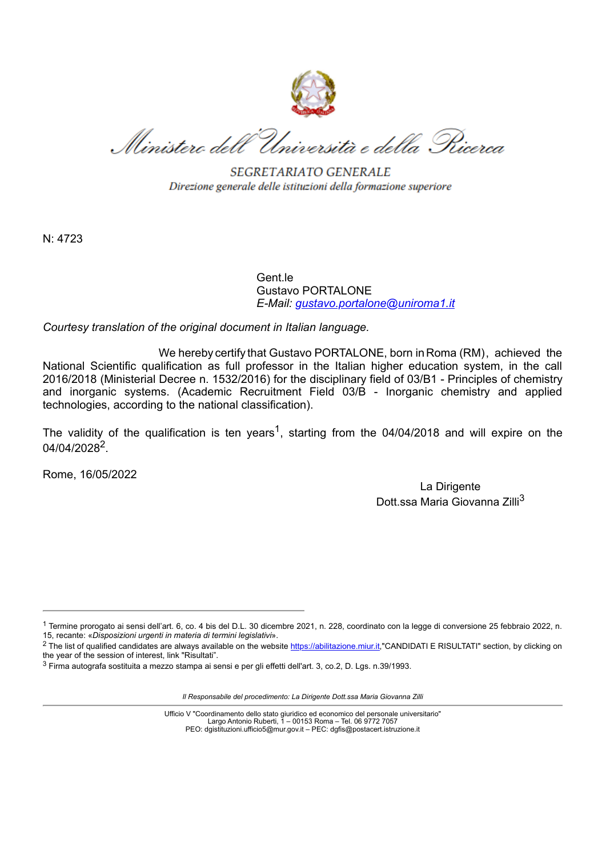

Ministero dell'Università e della Pricerca

SEGRETARIATO GENERALE Direzione generale delle istituzioni della formazione superiore

N: 4723

Gent le Gustavo PORTALONE *E-Mail: [gustavo.portalone@uniroma1.it](mailto:gustavo.portalone@uniroma1.it)*

*Courtesy translation of the original document in Italian language.*

We hereby certify that Gustavo PORTALONE, born in Roma (RM) , achieved the National Scientific qualification as full professor in the Italian higher education system, in the call 2016/2018 (Ministerial Decree n. 1532/2016) for the disciplinary field of 03/B1 - Principles of chemistry and inorganic systems. (Academic Recruitment Field 03/B - Inorganic chemistry and applied technologies, according to the national classification).

The validity of the qualification is ten years<sup>1</sup>, starting from the 04/04/2018 and will expire on the 04/04/2028<sup>2</sup>.

Rome, 16/05/2022

La Dirigente Dott.ssa Maria Giovanna Zilli<sup>3</sup>

*Il Responsabile del procedimento: La Dirigente Dott.ssa Maria Giovanna Zilli*

Ufficio V "Coordinamento dello stato giuridico ed economico del personale universitario" Largo Antonio Ruberti, 1 – 00153 Roma – Tel. 06 9772 7057 PEO: dgistituzioni.ufficio5@mur.gov.it – PEC: dgfis@postacert.istruzione.it

<sup>1</sup> Termine prorogato ai sensi dell'art. 6, co. 4 bis del D.L. 30 dicembre 2021, n. 228, coordinato con la legge di conversione 25 febbraio 2022, n. 15, recante: «*Disposizioni urgenti in materia di termini legislativi*».

<sup>&</sup>lt;sup>2</sup> The list of qualified candidates are always available on the website [https://abilitazione.miur.it](https://abilitazione.miur.it/),"CANDIDATI E RISULTATI" section, by clicking on the year of the session of interest, link "Risultati".

<sup>3</sup> Firma autografa sostituita a mezzo stampa ai sensi e per gli effetti dell'art. 3, co.2, D. Lgs. n.39/1993.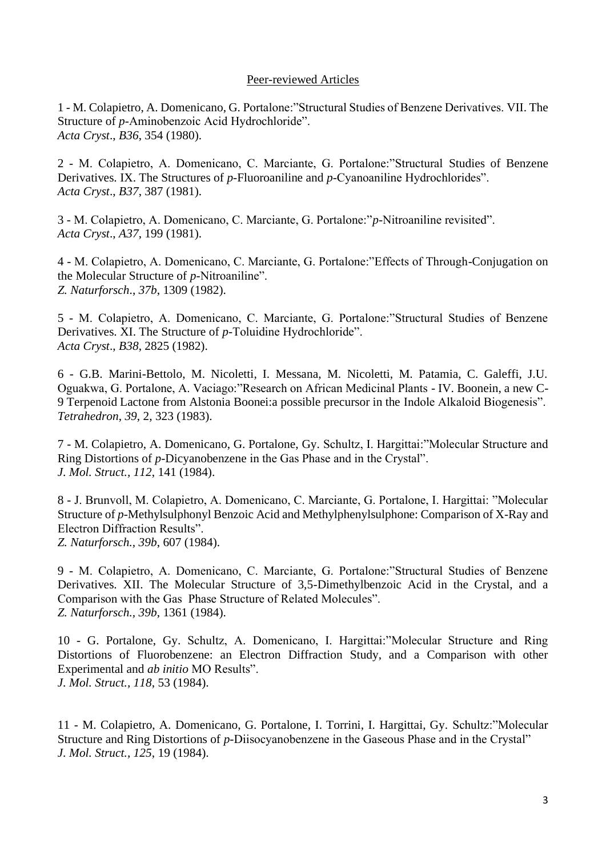## Peer-reviewed Articles

1 - M. Colapietro, A. Domenicano, G. Portalone:"Structural Studies of Benzene Derivatives. VII. The Structure of *p*-Aminobenzoic Acid Hydrochloride". *Acta Cryst*., *B36*, 354 (1980).

2 - M. Colapietro, A. Domenicano, C. Marciante, G. Portalone:"Structural Studies of Benzene Derivatives. IX. The Structures of *p*-Fluoroaniline and *p*-Cyanoaniline Hydrochlorides". *Acta Cryst*., *B37*, 387 (1981).

3 - M. Colapietro, A. Domenicano, C. Marciante, G. Portalone:"*p*-Nitroaniline revisited". *Acta Cryst*., *A37*, 199 (1981).

4 - M. Colapietro, A. Domenicano, C. Marciante, G. Portalone:"Effects of Through-Conjugation on the Molecular Structure of *p*-Nitroaniline". *Z. Naturforsch*., *37b*, 1309 (1982).

5 - M. Colapietro, A. Domenicano, C. Marciante, G. Portalone:"Structural Studies of Benzene Derivatives. XI. The Structure of *p*-Toluidine Hydrochloride". *Acta Cryst*., *B38*, 2825 (1982).

6 - G.B. Marini-Bettolo, M. Nicoletti, I. Messana, M. Nicoletti, M. Patamia, C. Galeffi, J.U. Oguakwa, G. Portalone, A. Vaciago:"Research on African Medicinal Plants - IV. Boonein, a new C-9 Terpenoid Lactone from Alstonia Boonei:a possible precursor in the Indole Alkaloid Biogenesis". *Tetrahedron*, *39*, 2, 323 (1983).

7 - M. Colapietro, A. Domenicano, G. Portalone, Gy. Schultz, I. Hargittai:"Molecular Structure and Ring Distortions of *p*-Dicyanobenzene in the Gas Phase and in the Crystal". *J. Mol. Struct., 112*, 141 (1984).

8 - J. Brunvoll, M. Colapietro, A. Domenicano, C. Marciante, G. Portalone, I. Hargittai: "Molecular Structure of *p*-Methylsulphonyl Benzoic Acid and Methylphenylsulphone: Comparison of X-Ray and Electron Diffraction Results". *Z. Naturforsch., 39b*, 607 (1984).

9 - M. Colapietro, A. Domenicano, C. Marciante, G. Portalone:"Structural Studies of Benzene Derivatives. XII. The Molecular Structure of 3,5-Dimethylbenzoic Acid in the Crystal, and a Comparison with the Gas Phase Structure of Related Molecules". *Z. Naturforsch., 39b*, 1361 (1984).

10 - G. Portalone, Gy. Schultz, A. Domenicano, I. Hargittai:"Molecular Structure and Ring Distortions of Fluorobenzene: an Electron Diffraction Study, and a Comparison with other Experimental and *ab initio* MO Results". *J. Mol. Struct., 118*, 53 (1984).

11 - M. Colapietro, A. Domenicano, G. Portalone, I. Torrini, I. Hargittai, Gy. Schultz:"Molecular Structure and Ring Distortions of *p*-Diisocyanobenzene in the Gaseous Phase and in the Crystal" *J. Mol. Struct., 125*, 19 (1984).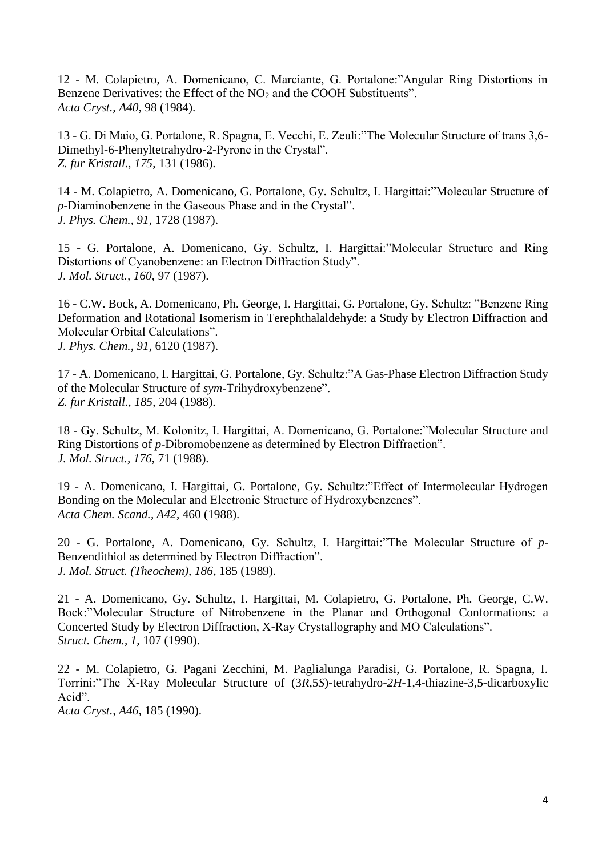12 - M. Colapietro, A. Domenicano, C. Marciante, G. Portalone:"Angular Ring Distortions in Benzene Derivatives: the Effect of the NO<sub>2</sub> and the COOH Substituents". *Acta Cryst., A40*, 98 (1984).

13 - G. Di Maio, G. Portalone, R. Spagna, E. Vecchi, E. Zeuli:"The Molecular Structure of trans 3,6- Dimethyl-6-Phenyltetrahydro-2-Pyrone in the Crystal". *Z. fur Kristall., 175*, 131 (1986).

14 - M. Colapietro, A. Domenicano, G. Portalone, Gy. Schultz, I. Hargittai:"Molecular Structure of *p*-Diaminobenzene in the Gaseous Phase and in the Crystal". *J. Phys. Chem., 91*, 1728 (1987).

15 - G. Portalone, A. Domenicano, Gy. Schultz, I. Hargittai:"Molecular Structure and Ring Distortions of Cyanobenzene: an Electron Diffraction Study". *J. Mol. Struct., 160*, 97 (1987).

16 - C.W. Bock, A. Domenicano, Ph. George, I. Hargittai, G. Portalone, Gy. Schultz: "Benzene Ring Deformation and Rotational Isomerism in Terephthalaldehyde: a Study by Electron Diffraction and Molecular Orbital Calculations". *J. Phys. Chem., 91*, 6120 (1987).

17 - A. Domenicano, I. Hargittai, G. Portalone, Gy. Schultz:"A Gas-Phase Electron Diffraction Study of the Molecular Structure of *sym*-Trihydroxybenzene". *Z. fur Kristall., 185*, 204 (1988).

18 - Gy. Schultz, M. Kolonitz, I. Hargittai, A. Domenicano, G. Portalone:"Molecular Structure and Ring Distortions of *p*-Dibromobenzene as determined by Electron Diffraction". *J. Mol. Struct., 176*, 71 (1988).

19 - A. Domenicano, I. Hargittai, G. Portalone, Gy. Schultz:"Effect of Intermolecular Hydrogen Bonding on the Molecular and Electronic Structure of Hydroxybenzenes". *Acta Chem. Scand., A42*, 460 (1988).

20 - G. Portalone, A. Domenicano, Gy. Schultz, I. Hargittai:"The Molecular Structure of *p*-Benzendithiol as determined by Electron Diffraction". *J. Mol. Struct. (Theochem), 186*, 185 (1989).

21 - A. Domenicano, Gy. Schultz, I. Hargittai, M. Colapietro, G. Portalone, Ph. George, C.W. Bock:"Molecular Structure of Nitrobenzene in the Planar and Orthogonal Conformations: a Concerted Study by Electron Diffraction, X-Ray Crystallography and MO Calculations". *Struct. Chem., 1,* 107 (1990).

22 - M. Colapietro, G. Pagani Zecchini, M. Paglialunga Paradisi, G. Portalone, R. Spagna, I. Torrini:"The X-Ray Molecular Structure of (3*R*,5*S*)-tetrahydro-*2H*-1,4-thiazine-3,5-dicarboxylic Acid". *Acta Cryst., A46,* 185 (1990).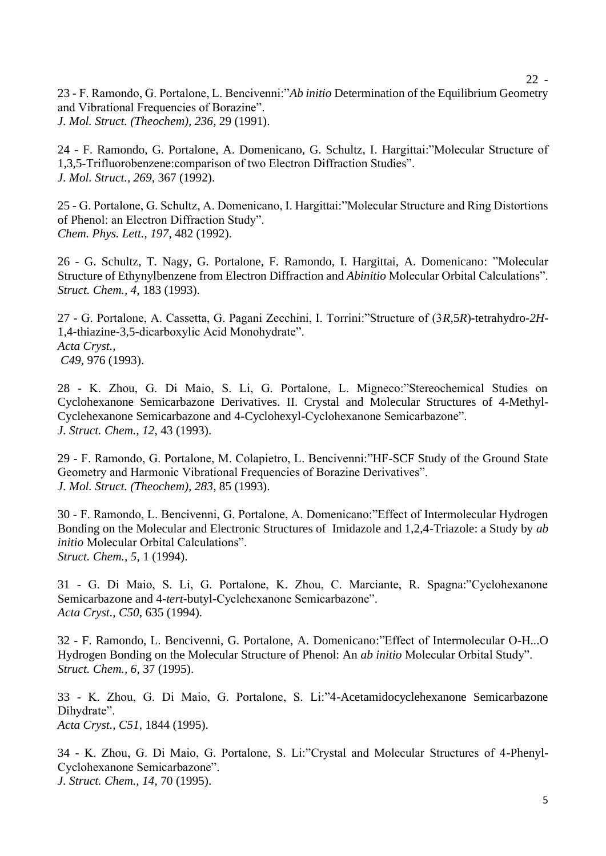23 - F. Ramondo, G. Portalone, L. Bencivenni:"*Ab initio* Determination of the Equilibrium Geometry and Vibrational Frequencies of Borazine". *J. Mol. Struct. (Theochem), 236*, 29 (1991).

24 - F. Ramondo, G. Portalone, A. Domenicano, G. Schultz, I. Hargittai:"Molecular Structure of 1,3,5-Trifluorobenzene:comparison of two Electron Diffraction Studies". *J. Mol. Struct., 269*, 367 (1992).

25 - G. Portalone, G. Schultz, A. Domenicano, I. Hargittai:"Molecular Structure and Ring Distortions of Phenol: an Electron Diffraction Study". *Chem. Phys. Lett., 197*, 482 (1992).

26 - G. Schultz, T. Nagy, G. Portalone, F. Ramondo, I. Hargittai, A. Domenicano: "Molecular Structure of Ethynylbenzene from Electron Diffraction and *Abinitio* Molecular Orbital Calculations". *Struct. Chem., 4,* 183 (1993).

27 - G. Portalone, A. Cassetta, G. Pagani Zecchini, I. Torrini:"Structure of (3*R*,5*R*)-tetrahydro-*2H*-1,4-thiazine-3,5-dicarboxylic Acid Monohydrate". *Acta Cryst., C49*, 976 (1993).

28 - K. Zhou, G. Di Maio, S. Li, G. Portalone, L. Migneco:"Stereochemical Studies on Cyclohexanone Semicarbazone Derivatives. II. Crystal and Molecular Structures of 4-Methyl-Cyclehexanone Semicarbazone and 4-Cyclohexyl-Cyclohexanone Semicarbazone". *J. Struct. Chem., 12*, 43 (1993).

29 - F. Ramondo, G. Portalone, M. Colapietro, L. Bencivenni:"HF-SCF Study of the Ground State Geometry and Harmonic Vibrational Frequencies of Borazine Derivatives". *J. Mol. Struct. (Theochem), 283*, 85 (1993).

30 - F. Ramondo, L. Bencivenni, G. Portalone, A. Domenicano:"Effect of Intermolecular Hydrogen Bonding on the Molecular and Electronic Structures of Imidazole and 1,2,4-Triazole: a Study by *ab initio* Molecular Orbital Calculations". *Struct. Chem., 5*, 1 (1994).

31 - G. Di Maio, S. Li, G. Portalone, K. Zhou, C. Marciante, R. Spagna:"Cyclohexanone Semicarbazone and 4-*tert*-butyl-Cyclehexanone Semicarbazone". *Acta Cryst., C50*, 635 (1994).

32 - F. Ramondo, L. Bencivenni, G. Portalone, A. Domenicano:"Effect of Intermolecular O-H...O Hydrogen Bonding on the Molecular Structure of Phenol: An *ab initio* Molecular Orbital Study". *Struct. Chem., 6*, 37 (1995).

33 - K. Zhou, G. Di Maio, G. Portalone, S. Li:"4-Acetamidocyclehexanone Semicarbazone Dihydrate". *Acta Cryst., C51*, 1844 (1995).

34 - K. Zhou, G. Di Maio, G. Portalone, S. Li:"Crystal and Molecular Structures of 4-Phenyl-Cyclohexanone Semicarbazone". *J. Struct. Chem., 14*, 70 (1995).

22 -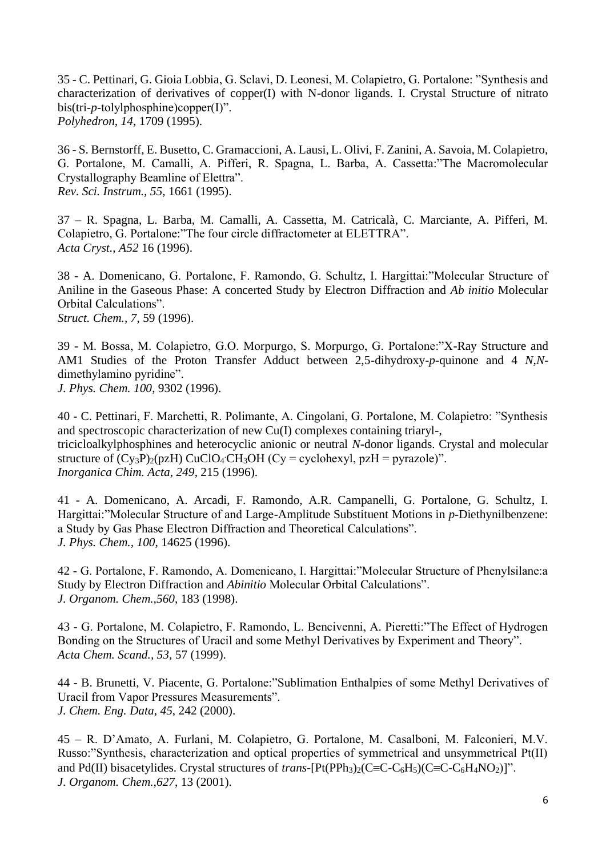35 - C. Pettinari, G. Gioia Lobbia, G. Sclavi, D. Leonesi, M. Colapietro, G. Portalone: "Synthesis and characterization of derivatives of copper(I) with N-donor ligands. I. Crystal Structure of nitrato bis(tri-*p*-tolylphosphine)copper(I)". *Polyhedron, 14*, 1709 (1995).

36 - S. Bernstorff, E. Busetto, C. Gramaccioni, A. Lausi, L. Olivi, F. Zanini, A. Savoia, M. Colapietro, G. Portalone, M. Camalli, A. Pifferi, R. Spagna, L. Barba, A. Cassetta:"The Macromolecular Crystallography Beamline of Elettra". *Rev. Sci. Instrum., 55*, 1661 (1995).

37 – R. Spagna, L. Barba, M. Camalli, A. Cassetta, M. Catricalà, C. Marciante, A. Pifferi, M. Colapietro, G. Portalone:"The four circle diffractometer at ELETTRA". *Acta Cryst.*, *A52* 16 (1996).

38 - A. Domenicano, G. Portalone, F. Ramondo, G. Schultz, I. Hargittai:"Molecular Structure of Aniline in the Gaseous Phase: A concerted Study by Electron Diffraction and *Ab initio* Molecular Orbital Calculations". *Struct. Chem., 7*, 59 (1996).

39 - M. Bossa, M. Colapietro, G.O. Morpurgo, S. Morpurgo, G. Portalone:"X-Ray Structure and AM1 Studies of the Proton Transfer Adduct between 2,5-dihydroxy-*p*-quinone and 4 *N*,*N*dimethylamino pyridine".

*J. Phys. Chem. 100*, 9302 (1996).

40 - C. Pettinari, F. Marchetti, R. Polimante, A. Cingolani, G. Portalone, M. Colapietro: "Synthesis and spectroscopic characterization of new Cu(I) complexes containing triaryl-, tricicloalkylphosphines and heterocyclic anionic or neutral *N*-donor ligands. Crystal and molecular structure of  $(Cy_3P)_2(pzH)$  CuClO<sub>4</sub> CH<sub>3</sub>OH (Cy = cyclohexyl, pzH = pyrazole)". *Inorganica Chim. Acta, 249*, 215 (1996).

41 - A. Domenicano, A. Arcadi, F. Ramondo, A.R. Campanelli, G. Portalone, G. Schultz, I. Hargittai:"Molecular Structure of and Large-Amplitude Substituent Motions in *p*-Diethynilbenzene: a Study by Gas Phase Electron Diffraction and Theoretical Calculations". *J. Phys. Chem., 100*, 14625 (1996).

42 - G. Portalone, F. Ramondo, A. Domenicano, I. Hargittai:"Molecular Structure of Phenylsilane:a Study by Electron Diffraction and *Abinitio* Molecular Orbital Calculations". *J. Organom. Chem.,560*, 183 (1998).

43 - G. Portalone, M. Colapietro, F. Ramondo, L. Bencivenni, A. Pieretti:"The Effect of Hydrogen Bonding on the Structures of Uracil and some Methyl Derivatives by Experiment and Theory". *Acta Chem. Scand., 53*, 57 (1999).

44 - B. Brunetti, V. Piacente, G. Portalone:"Sublimation Enthalpies of some Methyl Derivatives of Uracil from Vapor Pressures Measurements". *J. Chem. Eng. Data*, *45*, 242 (2000).

45 – R. D'Amato, A. Furlani, M. Colapietro, G. Portalone, M. Casalboni, M. Falconieri, M.V. Russo:"Synthesis, characterization and optical properties of symmetrical and unsymmetrical Pt(II) and Pd(II) bisacetylides. Crystal structures of *trans*- $[Pt(PPh<sub>3</sub>)<sub>2</sub>(C=C-C<sub>6</sub>H<sub>5</sub>)(C=C-C<sub>6</sub>H<sub>4</sub>NO<sub>2</sub>)]$ ". *J. Organom. Chem.,627*, 13 (2001).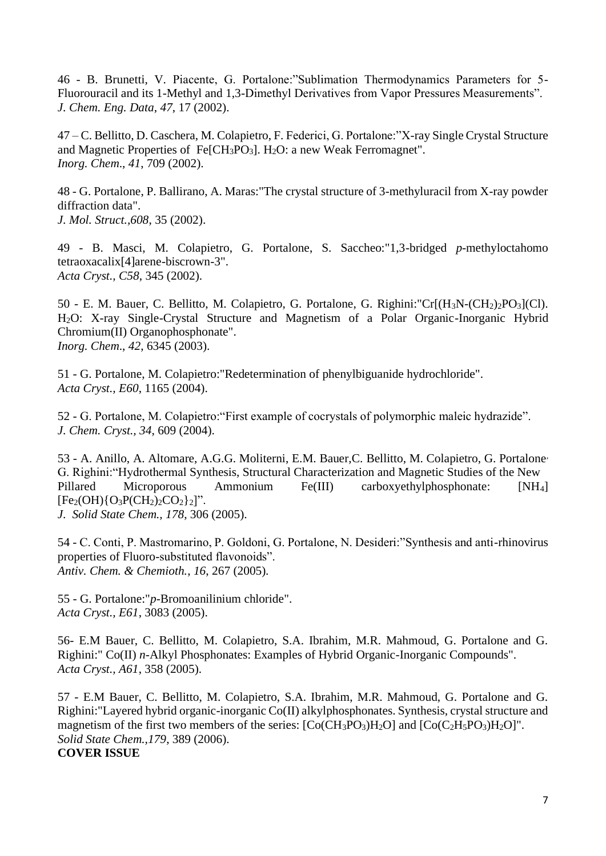46 - B. Brunetti, V. Piacente, G. Portalone:"Sublimation Thermodynamics Parameters for 5- Fluorouracil and its 1-Methyl and 1,3-Dimethyl Derivatives from Vapor Pressures Measurements". *J. Chem. Eng. Data*, *47*, 17 (2002).

47 – C. Bellitto, D. Caschera, M. Colapietro, F. Federici, G. Portalone:"X-ray Single Crystal Structure and Magnetic Properties of Fe[CH<sub>3</sub>PO<sub>3</sub>]. H<sub>2</sub>O: a new Weak Ferromagnet". *Inorg. Chem*., *41*, 709 (2002).

48 - G. Portalone, P. Ballirano, A. Maras:"The crystal structure of 3-methyluracil from X-ray powder diffraction data".

*J. Mol. Struct.,608*, 35 (2002).

49 - B. Masci, M. Colapietro, G. Portalone, S. Saccheo:"1,3-bridged *p*-methyloctahomo tetraoxacalix[4]arene-biscrown-3". *Acta Cryst., C58*, 345 (2002).

50 - E. M. Bauer, C. Bellitto, M. Colapietro, G. Portalone, G. Righini:"Cr[(H3N-(CH2)2PO3](Cl). H2O: X-ray Single-Crystal Structure and Magnetism of a Polar Organic-Inorganic Hybrid Chromium(II) Organophosphonate". *Inorg. Chem*., *42*, 6345 (2003).

51 - G. Portalone, M. Colapietro:"Redetermination of phenylbiguanide hydrochloride". *Acta Cryst., E60*, 1165 (2004).

52 - G. Portalone, M. Colapietro:"First example of cocrystals of polymorphic maleic hydrazide". *J. Chem. Cryst., 34*, 609 (2004).

53 - A. Anillo, A. Altomare, A.G.G. Moliterni, E.M. Bauer,C. Bellitto, M. Colapietro, G. Portalone*,*  G. Righini: "Hydrothermal Synthesis, Structural Characterization and Magnetic Studies of the New<br>Pillared Microporous Ammonium Fe(III) carboxyethylphosphonate:  $INH_4$ Pillared Microporous Ammonium Fe(III) carboxyethylphosphonate: [NH4]  $[Fe<sub>2</sub>(OH) {O<sub>3</sub>P(CH<sub>2</sub>)<sub>2</sub>CO<sub>2</sub>}<sub>2</sub>]''.$ *J. Solid State Chem., 178*, 306 (2005).

54 - C. Conti, P. Mastromarino, P. Goldoni, G. Portalone, N. Desideri:"Synthesis and anti-rhinovirus properties of Fluoro-substituted flavonoids". *Antiv. Chem. & Chemioth.*, *16*, 267 (2005).

55 - G. Portalone:"*p*-Bromoanilinium chloride". *Acta Cryst., E61*, 3083 (2005).

56- E.M Bauer, C. Bellitto, M. Colapietro, S.A. Ibrahim, M.R. Mahmoud, G. Portalone and G. Righini:" Co(II) *n*-Alkyl Phosphonates: Examples of Hybrid Organic-Inorganic Compounds". *Acta Cryst., A61*, 358 (2005).

57 - E.M Bauer, C. Bellitto, M. Colapietro, S.A. Ibrahim, M.R. Mahmoud, G. Portalone and G. Righini:"Layered hybrid organic-inorganic Co(II) alkylphosphonates. Synthesis, crystal structure and magnetism of the first two members of the series:  $[Co(CH_3PO_3)H_2O]$  and  $[Co(C_2H_5PO_3)H_2O]$ ". *Solid State Chem.,179*, 389 (2006). **COVER ISSUE**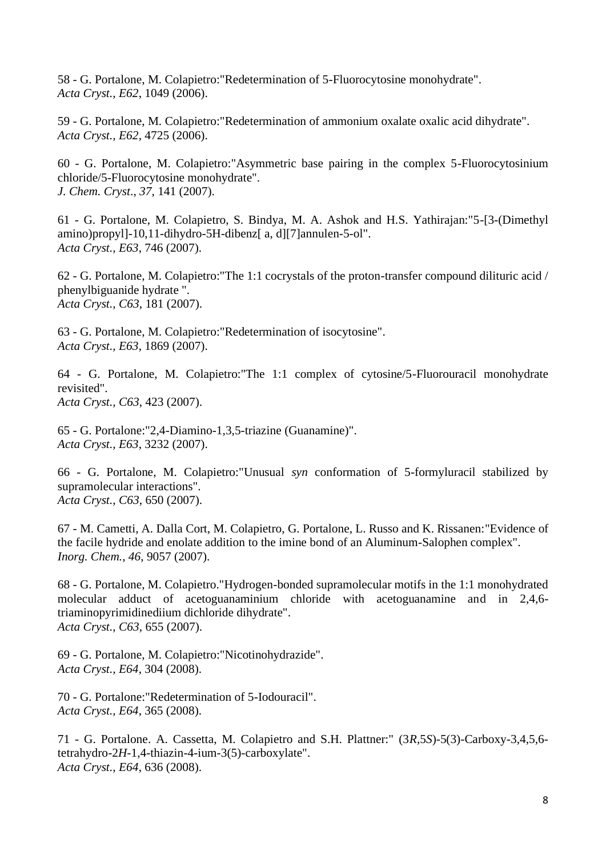58 - G. Portalone, M. Colapietro:"Redetermination of 5-Fluorocytosine monohydrate". *Acta Cryst., E62*, 1049 (2006).

59 - G. Portalone, M. Colapietro:"Redetermination of ammonium oxalate oxalic acid dihydrate". *Acta Cryst., E62*, 4725 (2006).

60 - G. Portalone, M. Colapietro:"Asymmetric base pairing in the complex 5-Fluorocytosinium chloride/5-Fluorocytosine monohydrate". *J. Chem. Cryst*., *37*, 141 (2007).

61 - G. Portalone, M. Colapietro, S. Bindya, M. A. Ashok and H.S. Yathirajan:"5-[3-(Dimethyl amino)propyl]-10,11-dihydro-5H-dibenz[ a, d][7]annulen-5-ol". *Acta Cryst., E63*, 746 (2007).

62 - G. Portalone, M. Colapietro:"The 1:1 cocrystals of the proton-transfer compound dilituric acid / phenylbiguanide hydrate ". *Acta Cryst., C63*, 181 (2007).

63 - G. Portalone, M. Colapietro:"Redetermination of isocytosine". *Acta Cryst., E63*, 1869 (2007).

64 - G. Portalone, M. Colapietro:"The 1:1 complex of cytosine/5-Fluorouracil monohydrate revisited". *Acta Cryst., C63*, 423 (2007).

65 - G. Portalone:"2,4-Diamino-1,3,5-triazine (Guanamine)". *Acta Cryst., E63*, 3232 (2007).

66 - G. Portalone, M. Colapietro:"Unusual *syn* conformation of 5-formyluracil stabilized by supramolecular interactions". *Acta Cryst., C63*, 650 (2007).

67 - M. Cametti, A. Dalla Cort, M. Colapietro, G. Portalone, L. Russo and K. Rissanen:"Evidence of the facile hydride and enolate addition to the imine bond of an Aluminum-Salophen complex". *Inorg. Chem.*, *46*, 9057 (2007).

68 - G. Portalone, M. Colapietro."Hydrogen-bonded supramolecular motifs in the 1:1 monohydrated molecular adduct of acetoguanaminium chloride with acetoguanamine and in 2,4,6 triaminopyrimidinediium dichloride dihydrate". *Acta Cryst.*, *C63*, 655 (2007).

69 - G. Portalone, M. Colapietro:"Nicotinohydrazide". *Acta Cryst., E64*, 304 (2008).

70 - G. Portalone:"Redetermination of 5-Iodouracil". *Acta Cryst., E64*, 365 (2008).

71 - G. Portalone. A. Cassetta, M. Colapietro and S.H. Plattner:" (3*R*,5*S*)-5(3)-Carboxy-3,4,5,6 tetrahydro-2*H*-1,4-thiazin-4-ium-3(5)-carboxylate". *Acta Cryst., E64*, 636 (2008).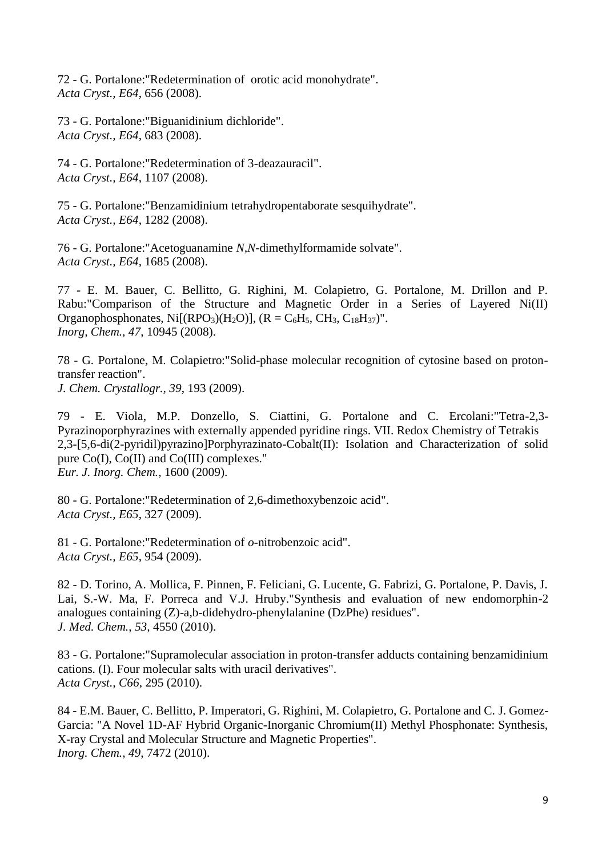72 - G. Portalone:"Redetermination of orotic acid monohydrate". *Acta Cryst., E64*, 656 (2008).

73 - G. Portalone:"Biguanidinium dichloride". *Acta Cryst., E64*, 683 (2008).

74 - G. Portalone:"Redetermination of 3-deazauracil". *Acta Cryst., E64*, 1107 (2008).

75 - G. Portalone:"Benzamidinium tetrahydropentaborate sesquihydrate". *Acta Cryst., E64*, 1282 (2008).

76 - G. Portalone:"Acetoguanamine *N,N*-dimethylformamide solvate". *Acta Cryst., E64*, 1685 (2008).

77 - E. M. Bauer, C. Bellitto, G. Righini, M. Colapietro, G. Portalone, M. Drillon and P. Rabu:"Comparison of the Structure and Magnetic Order in a Series of Layered Ni(II) Organophosphonates, Ni $[(RPO<sub>3</sub>)(H<sub>2</sub>O)]$ ,  $(R = C<sub>6</sub>H<sub>5</sub>, CH<sub>3</sub>, C<sub>18</sub>H<sub>37</sub>)$ ". *Inorg, Chem., 47*, 10945 (2008).

78 - G. Portalone, M. Colapietro:"Solid-phase molecular recognition of cytosine based on protontransfer reaction". *J. Chem. Crystallogr., 39*, 193 (2009).

79 - E. Viola, M.P. Donzello, S. Ciattini, G. Portalone and C. Ercolani:"Tetra-2,3- Pyrazinoporphyrazines with externally appended pyridine rings. VII. Redox Chemistry of Tetrakis 2,3-[5,6-di(2-pyridil)pyrazino]Porphyrazinato-Cobalt(II): Isolation and Characterization of solid pure Co(I), Co(II) and Co(III) complexes." *Eur. J. Inorg. Chem.,* 1600 (2009).

80 - G. Portalone:"Redetermination of 2,6-dimethoxybenzoic acid". *Acta Cryst., E65*, 327 (2009).

81 - G. Portalone:"Redetermination of *o*-nitrobenzoic acid". *Acta Cryst., E65*, 954 (2009).

82 - D. Torino, A. Mollica, F. Pinnen, F. Feliciani, G. Lucente, G. Fabrizi, G. Portalone, P. Davis, J. Lai, S.-W. Ma, F. Porreca and V.J. Hruby."Synthesis and evaluation of new endomorphin-2 analogues containing (Z)-a,b-didehydro-phenylalanine (DzPhe) residues". *J. Med. Chem.*, *53,* 4550 (2010).

83 - G. Portalone:"Supramolecular association in proton-transfer adducts containing benzamidinium cations. (I). Four molecular salts with uracil derivatives". *Acta Cryst., C66*, 295 (2010).

84 - E.M. Bauer, C. Bellitto, P. Imperatori, G. Righini, M. Colapietro, G. Portalone and C. J. Gomez-Garcia: "A Novel 1D-AF Hybrid Organic-Inorganic Chromium(II) Methyl Phosphonate: Synthesis, X-ray Crystal and Molecular Structure and Magnetic Properties". *Inorg. Chem.*, *49*, 7472 (2010).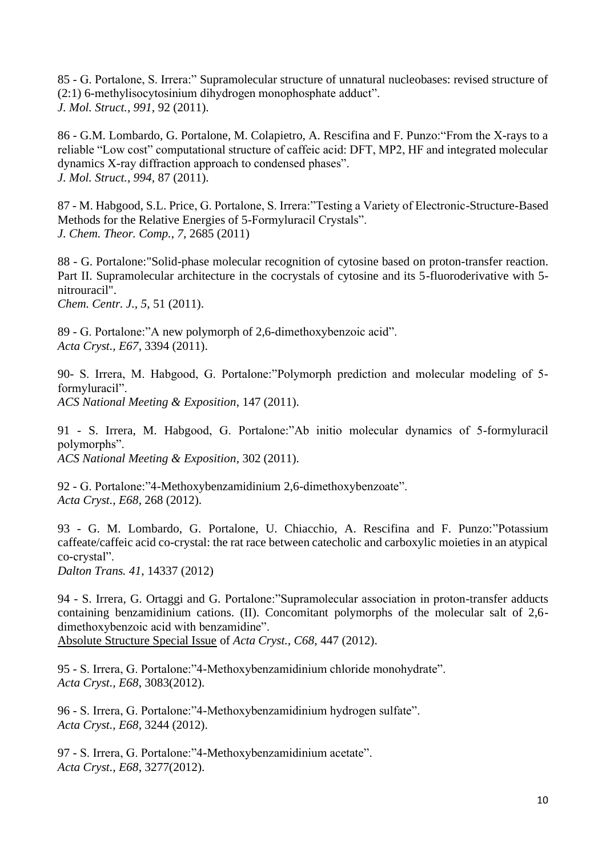85 - G. Portalone, S. Irrera:" Supramolecular structure of unnatural nucleobases: revised structure of (2:1) 6-methylisocytosinium dihydrogen monophosphate adduct". *J. Mol. Struct., 991*, 92 (2011).

86 - G.M. Lombardo, G. Portalone, M. Colapietro, A. Rescifina and F. Punzo:"From the X-rays to a reliable "Low cost" computational structure of caffeic acid: DFT, MP2, HF and integrated molecular dynamics X-ray diffraction approach to condensed phases". *J. Mol. Struct., 994,* 87 (2011).

87 - M. Habgood, S.L. Price, G. Portalone, S. Irrera:"Testing a Variety of Electronic-Structure-Based Methods for the Relative Energies of 5-Formyluracil Crystals". *J. Chem. Theor. Comp.*, *7*, 2685 (2011)

88 - G. Portalone:"Solid-phase molecular recognition of cytosine based on proton-transfer reaction. Part II. Supramolecular architecture in the cocrystals of cytosine and its 5-fluoroderivative with 5 nitrouracil".

*Chem. Centr. J., 5*, 51 (2011).

89 - G. Portalone:"A new polymorph of 2,6-dimethoxybenzoic acid". *Acta Cryst., E67*, 3394 (2011).

90- S. Irrera, M. Habgood, G. Portalone:"Polymorph prediction and molecular modeling of 5 formyluracil". *ACS National Meeting & Exposition*, 147 (2011).

91 - S. Irrera, M. Habgood, G. Portalone:"Ab initio molecular dynamics of 5-formyluracil polymorphs". *ACS National Meeting & Exposition*, 302 (2011).

92 - G. Portalone:"4-Methoxybenzamidinium 2,6-dimethoxybenzoate". *Acta Cryst., E68*, 268 (2012).

93 - G. M. Lombardo, G. Portalone, U. Chiacchio, A. Rescifina and F. Punzo:"Potassium caffeate/caffeic acid co-crystal: the rat race between catecholic and carboxylic moieties in an atypical co-crystal".

*Dalton Trans. 41*, 14337 (2012)

94 - S. Irrera, G. Ortaggi and G. Portalone:"Supramolecular association in proton-transfer adducts containing benzamidinium cations. (II). Concomitant polymorphs of the molecular salt of 2,6 dimethoxybenzoic acid with benzamidine".

Absolute Structure Special Issue of *Acta Cryst., C68*, 447 (2012).

95 - S. Irrera, G. Portalone:"4-Methoxybenzamidinium chloride monohydrate". *Acta Cryst., E68*, 3083(2012).

96 - S. Irrera, G. Portalone:"4-Methoxybenzamidinium hydrogen sulfate". *Acta Cryst., E68*, 3244 (2012).

97 - S. Irrera, G. Portalone:"4-Methoxybenzamidinium acetate". *Acta Cryst., E68*, 3277(2012).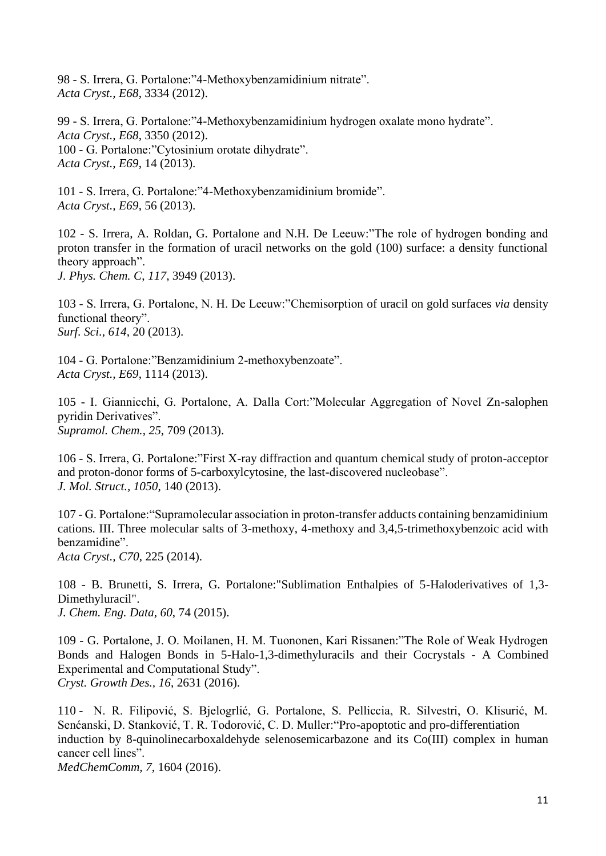98 - S. Irrera, G. Portalone:"4-Methoxybenzamidinium nitrate". *Acta Cryst., E68*, 3334 (2012).

99 - S. Irrera, G. Portalone:"4-Methoxybenzamidinium hydrogen oxalate mono hydrate". *Acta Cryst., E68*, 3350 (2012). 100 - G. Portalone:"Cytosinium orotate dihydrate". *Acta Cryst., E69*, 14 (2013).

101 - S. Irrera, G. Portalone:"4-Methoxybenzamidinium bromide". *Acta Cryst., E69*, 56 (2013).

102 - S. Irrera, A. Roldan, G. Portalone and N.H. De Leeuw:"The role of hydrogen bonding and proton transfer in the formation of uracil networks on the gold (100) surface: a density functional theory approach". *J. Phys. Chem. C*, *117*, 3949 (2013).

103 - S. Irrera, G. Portalone, N. H. De Leeuw:"Chemisorption of uracil on gold surfaces *via* density functional theory". *Surf. Sci.*, *614*, 20 (2013).

104 - G. Portalone:"Benzamidinium 2-methoxybenzoate". *Acta Cryst., E69*, 1114 (2013).

105 - I. Giannicchi, G. Portalone, A. Dalla Cort:"Molecular Aggregation of Novel Zn-salophen pyridin Derivatives". *Supramol. Chem.*, *25*, 709 (2013).

106 - S. Irrera, G. Portalone:"First X-ray diffraction and quantum chemical study of proton-acceptor and proton-donor forms of 5-carboxylcytosine, the last-discovered nucleobase". *J. Mol. Struct., 1050*, 140 (2013).

107 - G. Portalone:"Supramolecular association in proton-transfer adducts containing benzamidinium cations. III. Three molecular salts of 3-methoxy, 4-methoxy and 3,4,5-trimethoxybenzoic acid with benzamidine".

*Acta Cryst., C70*, 225 (2014).

108 - B. Brunetti, S. Irrera, G. Portalone:"Sublimation Enthalpies of 5-Haloderivatives of 1,3- Dimethyluracil". *J. Chem. Eng. Data*, *60*, 74 (2015).

109 - G. Portalone, J. O. Moilanen, H. M. Tuononen, Kari Rissanen:"The Role of Weak Hydrogen Bonds and Halogen Bonds in 5-Halo-1,3-dimethyluracils and their Cocrystals - A Combined Experimental and Computational Study". *Cryst. Growth Des., 16*, 2631 (2016).

110 - N. R. Filipović, S. Bjelogrlić, G. Portalone, S. Pelliccia, R. Silvestri, O. Klisurić, M. Senćanski, D. Stanković, T. R. Todorović, C. D. Muller:"Pro-apoptotic and pro-differentiation induction by 8-quinolinecarboxaldehyde selenosemicarbazone and its Co(III) complex in human cancer cell lines".

*MedChemComm, 7*, 1604 (2016).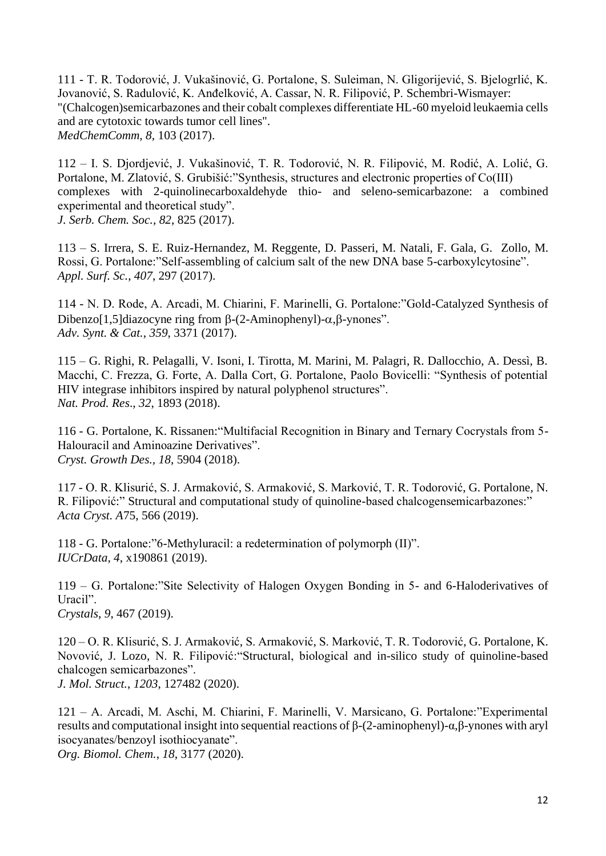111 - T. R. Todorović, J. Vukašinović, G. Portalone, S. Suleiman, N. Gligorijević, S. Bjelogrlić, K. Jovanović, S. Radulović, K. Anđelković, A. Cassar, N. R. Filipović, P. Schembri-Wismayer: "(Chalcogen)semicarbazones and their cobalt complexes differentiate HL-60 myeloid leukaemia cells and are cytotoxic towards tumor cell lines". *MedChemComm, 8*, 103 (2017).

112 – I. S. Djordjević, J. Vukašinović, T. R. Todorović, N. R. Filipović, M. Rodić, A. Lolić, G. Portalone, M. Zlatović, S. Grubišić:"Synthesis, structures and electronic properties of Co(III) complexes with 2-quinolinecarboxaldehyde thio- and seleno-semicarbazone: a combined experimental and theoretical study".

*J. Serb. Chem. Soc., 82*, 825 (2017).

113 – S. Irrera, S. E. Ruiz-Hernandez, M. Reggente, D. Passeri, M. Natali, F. Gala, G. Zollo, M. Rossi, G. Portalone:"Self-assembling of calcium salt of the new DNA base 5-carboxylcytosine". *Appl. Surf. Sc.*, *407*, 297 (2017).

114 - N. D. Rode, A. Arcadi, M. Chiarini, F. Marinelli, G. Portalone:"Gold-Catalyzed Synthesis of Dibenzo[1,5]diazocyne ring from  $\beta$ -(2-Aminophenyl)- $\alpha$ . $\beta$ -vnones". *Adv. Synt. & Cat.*, *359*, 3371 (2017).

115 – G. Righi, R. Pelagalli, V. Isoni, I. Tirotta, M. Marini, M. Palagri, R. Dallocchio, A. Dessì, B. Macchi, C. Frezza, G. Forte, A. Dalla Cort, G. Portalone, Paolo Bovicelli: "Synthesis of potential HIV integrase inhibitors inspired by natural polyphenol structures". *Nat. Prod. Res*., *32*, 1893 (2018).

116 - G. Portalone, K. Rissanen:"Multifacial Recognition in Binary and Ternary Cocrystals from 5- Halouracil and Aminoazine Derivatives". *Cryst. Growth Des., 18*, 5904 (2018).

117 - O. R. Klisurić, [S. J. Armaković, S. Armaković, S. Marković, T. R. Todorović, G. Portalone, N.](https://www.sciencedirect.com/science/article/abs/pii/S0022286019315911?via%3Dihub#!)  [R. Filipović:](https://www.sciencedirect.com/science/article/abs/pii/S0022286019315911?via%3Dihub#!)" Structural and computational study of quinoline-based chalcogensemicarbazones:" *Acta Cryst. A*75, 566 (2019).

118 - G. Portalone:"6-Methyluracil: a redetermination of polymorph (II)". *IUCrData, 4*, x190861 (2019).

119 – G. Portalone:"Site Selectivity of Halogen Oxygen Bonding in 5- and 6-Haloderivatives of Uracil". *Crystals*, *9*, 467 (2019).

120 – O. R. Klisurić, [S. J. Armaković, S. Armaković, S. Marković, T. R. Todorović, G. Portalone, K.](https://www.sciencedirect.com/science/article/abs/pii/S0022286019315911?via%3Dihub#!)  [Novović, J. Lozo, N. R. Filipović:](https://www.sciencedirect.com/science/article/abs/pii/S0022286019315911?via%3Dihub#!)"Structural, biological and in-silico study of quinoline-based chalcogen semicarbazones".

*J. Mol. Struct.*, *1203*, 127482 (2020).

121 – A. Arcadi, M. Aschi, M. Chiarini, F. Marinelli, V. Marsicano, G. Portalone:"Experimental results and computational insight into sequential reactions of β-(2-aminophenyl)-α,β-ynones with aryl isocyanates/benzoyl isothiocyanate".

*Org. Biomol. Chem.*, *18*, 3177 (2020).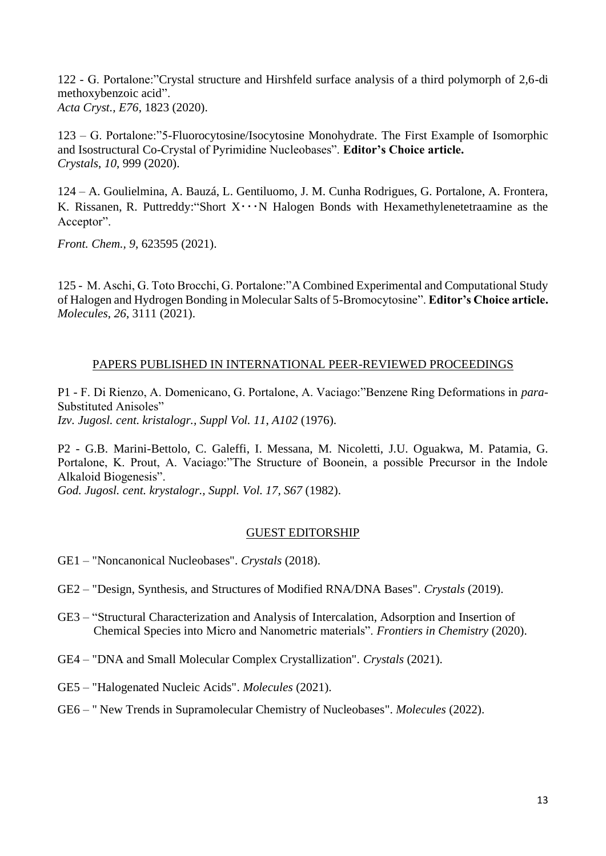122 - G. Portalone:"Crystal structure and Hirshfeld surface analysis of a third polymorph of 2,6-di methoxybenzoic acid". *Acta Cryst., E76*, 1823 (2020).

123 – G. Portalone:"5-Fluorocytosine/Isocytosine Monohydrate. The First Example of Isomorphic and Isostructural Co-Crystal of Pyrimidine Nucleobases". **Editor's Choice article.** *Crystals*, *10*, 999 (2020).

124 – A. Goulielmina, A. Bauzá, L. Gentiluomo, J. M. Cunha Rodrigues, G. Portalone, A. Frontera, K. Rissanen, R. Puttreddy: "Short  $X \cdot \cdot \cdot N$  Halogen Bonds with Hexamethylenetetraamine as the Acceptor".

*Front. Chem., 9*, 623595 (2021).

125 - M. Aschi, G. Toto Brocchi, G. Portalone:"A Combined Experimental and Computational Study of Halogen and Hydrogen Bonding in Molecular Salts of 5-Bromocytosine". **Editor's Choice article.** *Molecules*, *26*, 3111 (2021).

## PAPERS PUBLISHED IN INTERNATIONAL PEER-REVIEWED PROCEEDINGS

P1 - F. Di Rienzo, A. Domenicano, G. Portalone, A. Vaciago:"Benzene Ring Deformations in *para*-Substituted Anisoles" *Izv. Jugosl. cent. kristalogr., Suppl Vol. 11*, *A102* (1976).

P2 - G.B. Marini-Bettolo, C. Galeffi, I. Messana, M. Nicoletti, J.U. Oguakwa, M. Patamia, G. Portalone, K. Prout, A. Vaciago:"The Structure of Boonein, a possible Precursor in the Indole Alkaloid Biogenesis".

*God. Jugosl. cent. krystalogr., Suppl. Vol. 17, S67* (1982).

## GUEST EDITORSHIP

- GE1 "Noncanonical Nucleobases". *Crystals* (2018).
- GE2 "Design, Synthesis, and Structures of Modified RNA/DNA Bases". *Crystals* (2019).
- GE3 "Structural Characterization and Analysis of Intercalation, Adsorption and Insertion of Chemical Species into Micro and Nanometric materials". *Frontiers in Chemistry* (2020).
- GE4 "DNA and Small Molecular Complex Crystallization". *Crystals* (2021).
- GE5 "Halogenated Nucleic Acids". *Molecules* (2021).
- GE6 " New Trends in Supramolecular Chemistry of Nucleobases". *Molecules* (2022).